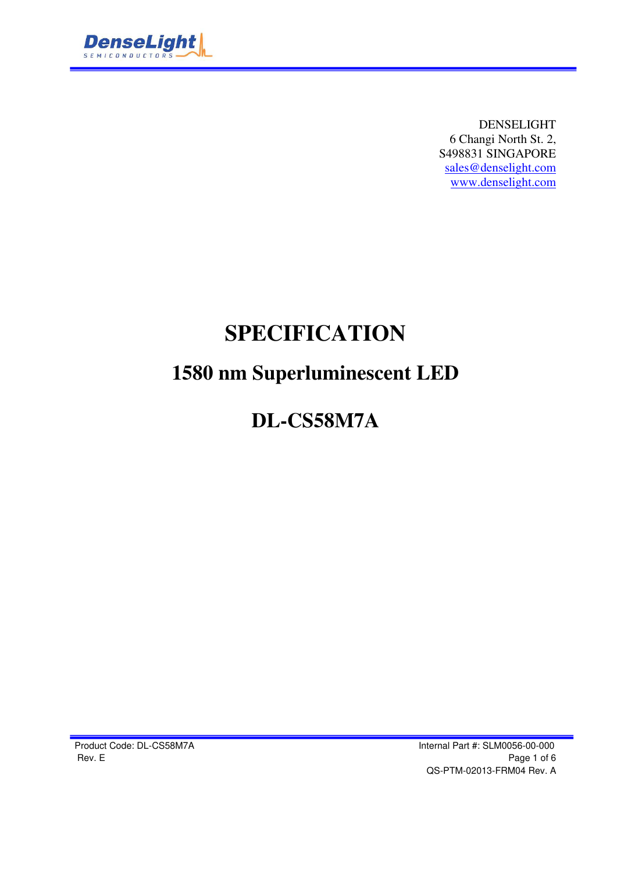

DENSELIGHT 6 Changi North St. 2, S498831 SINGAPORE sales@denselight.com www.denselight.com

# **SPECIFICATION**

# **1580 nm Superluminescent LED**

# **DL-CS58M7A**

Product Code: DL-CS58M7A **Internal Part #: SLM0056-00-000** Rev. E Page 1 of 6 QS-PTM-02013-FRM04 Rev. A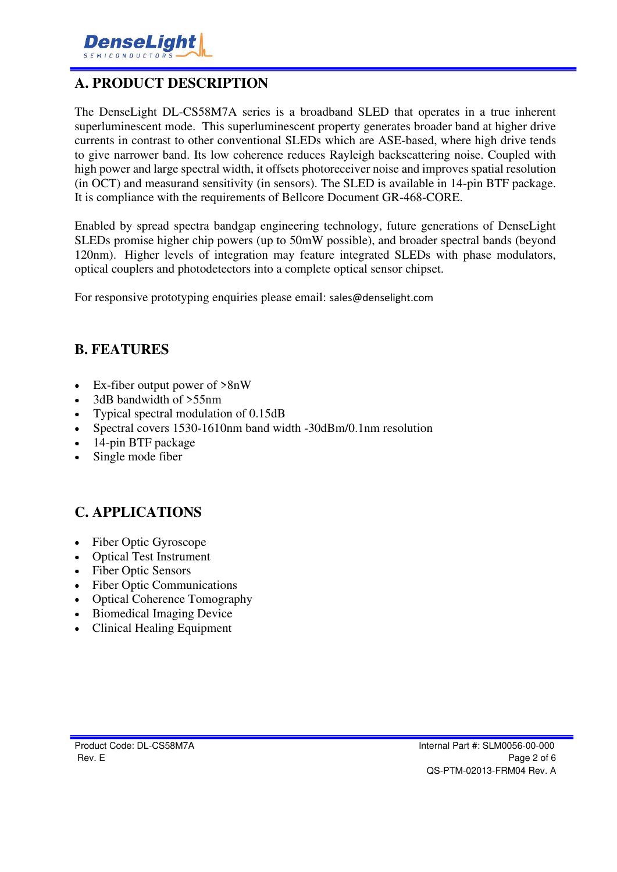

### **A. PRODUCT DESCRIPTION**

The DenseLight DL-CS58M7A series is a broadband SLED that operates in a true inherent superluminescent mode. This superluminescent property generates broader band at higher drive currents in contrast to other conventional SLEDs which are ASE-based, where high drive tends to give narrower band. Its low coherence reduces Rayleigh backscattering noise. Coupled with high power and large spectral width, it offsets photoreceiver noise and improves spatial resolution (in OCT) and measurand sensitivity (in sensors). The SLED is available in 14-pin BTF package. It is compliance with the requirements of Bellcore Document GR-468-CORE.

Enabled by spread spectra bandgap engineering technology, future generations of DenseLight SLEDs promise higher chip powers (up to 50mW possible), and broader spectral bands (beyond 120nm). Higher levels of integration may feature integrated SLEDs with phase modulators, optical couplers and photodetectors into a complete optical sensor chipset.

For responsive prototyping enquiries please email: sales@denselight.com

#### **B. FEATURES**

- Ex-fiber output power of >8nW
- 3dB bandwidth of >55nm
- Typical spectral modulation of 0.15dB
- Spectral covers 1530-1610nm band width -30dBm/0.1nm resolution
- 14-pin BTF package
- Single mode fiber

### **C. APPLICATIONS**

- Fiber Optic Gyroscope
- Optical Test Instrument
- Fiber Optic Sensors
- Fiber Optic Communications
- Optical Coherence Tomography
- Biomedical Imaging Device
- Clinical Healing Equipment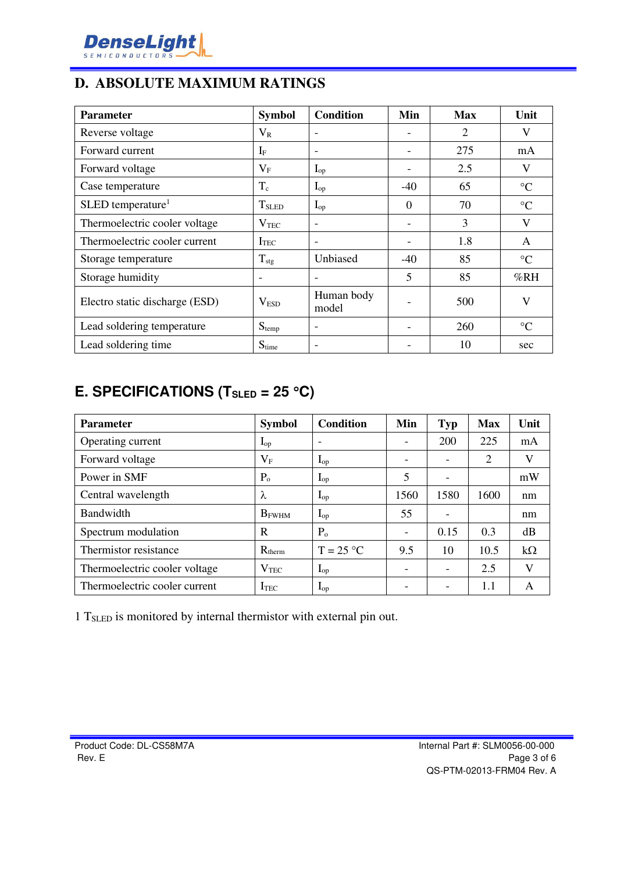

### **D. ABSOLUTE MAXIMUM RATINGS**

| <b>Parameter</b>                | <b>Symbol</b>            | <b>Condition</b>         | Min      | <b>Max</b> | Unit            |
|---------------------------------|--------------------------|--------------------------|----------|------------|-----------------|
| Reverse voltage                 | $V_{R}$                  |                          |          | 2          | V               |
| Forward current                 | $I_{\rm F}$              | $\overline{\phantom{0}}$ |          | 275        | mA              |
| Forward voltage                 | $\rm V_F$                | $I_{op}$                 |          | 2.5        | V               |
| Case temperature                | $T_c$                    | $\mathbf{I}_{op}$        | $-40$    | 65         | $\rm ^{\circ}C$ |
| $SLED$ temperature <sup>1</sup> | <b>T</b> <sub>SLED</sub> | $I_{op}$                 | $\Omega$ | 70         | $\rm ^{\circ}C$ |
| Thermoelectric cooler voltage   | $\rm V_{TEC}$            | $\overline{\phantom{a}}$ |          | 3          | V               |
| Thermoelectric cooler current   | <b>I</b> TEC             | $\overline{\phantom{a}}$ | -        | 1.8        | A               |
| Storage temperature             | $T_{\text{stg}}$         | Unbiased                 | $-40$    | 85         | $\rm ^{\circ}C$ |
| Storage humidity                | $\overline{\phantom{a}}$ | $\overline{\phantom{a}}$ | 5        | 85         | %RH             |
| Electro static discharge (ESD)  | V <sub>ESD</sub>         | Human body<br>model      |          | 500        | V               |
| Lead soldering temperature      | $S_{temp}$               |                          |          | 260        | $\rm ^{\circ}C$ |
| Lead soldering time             | $S_{time}$               | $\overline{\phantom{0}}$ |          | 10         | sec             |

### **E. SPECIFICATIONS (TSLED = 25 C)**

| <b>Parameter</b>              | <b>Symbol</b>     | Condition                | Min                      | Typ                      | <b>Max</b> | Unit      |
|-------------------------------|-------------------|--------------------------|--------------------------|--------------------------|------------|-----------|
| Operating current             | $\mathbf{I}_{op}$ | $\overline{\phantom{0}}$ |                          | 200                      | 225        | mA        |
| Forward voltage               | $V_{\rm F}$       | $I_{op}$                 |                          | $\overline{\phantom{0}}$ | 2          | V         |
| Power in SMF                  | $P_{o}$           | $\mathbf{I}_{\text{op}}$ | 5                        | ۰                        |            | mW        |
| Central wavelength            | λ                 | $I_{op}$                 | 1560                     | 1580                     | 1600       | nm        |
| Bandwidth                     | $B_{FWHM}$        | $I_{op}$                 | 55                       |                          |            | nm        |
| Spectrum modulation           | R                 | P <sub>o</sub>           | $\overline{\phantom{a}}$ | 0.15                     | 0.3        | dB        |
| Thermistor resistance         | $R_{therm}$       | $T = 25 °C$              | 9.5                      | 10                       | 10.5       | $k\Omega$ |
| Thermoelectric cooler voltage | $\rm V_{TEC}$     | $I_{op}$                 |                          | $\overline{\phantom{a}}$ | 2.5        | V         |
| Thermoelectric cooler current | <b>ITEC</b>       | $I_{op}$                 |                          | $\overline{\phantom{a}}$ | 1.1        | A         |

1 TSLED is monitored by internal thermistor with external pin out.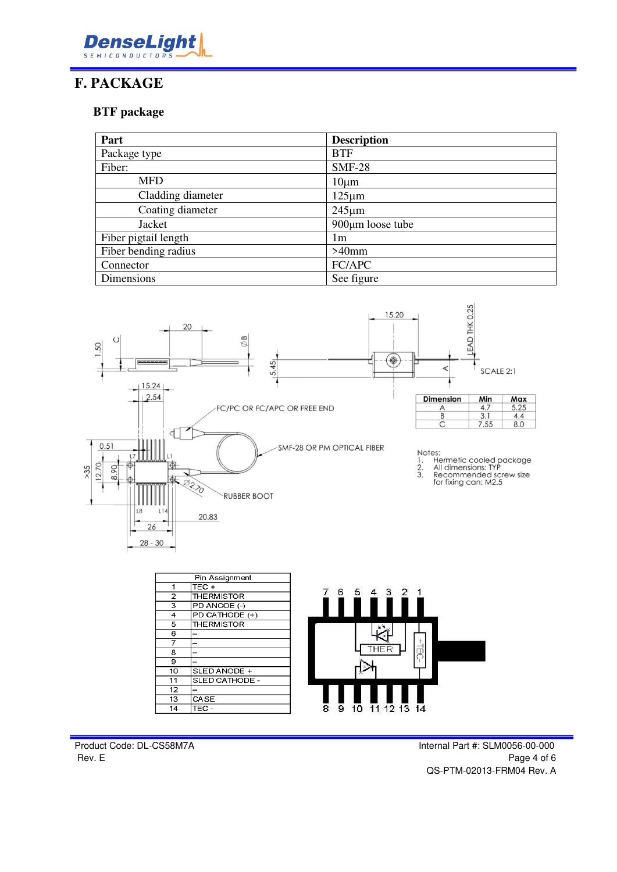

#### **F. PACKAGE**

#### **BTF package**

| Part                 | <b>Description</b> |  |
|----------------------|--------------------|--|
| Package type         | <b>BTF</b>         |  |
| Fiber:               | <b>SMF-28</b>      |  |
| <b>MFD</b>           | $10 \mu m$         |  |
| Cladding diameter    | $125 \mu m$        |  |
| Coating diameter     | $245 \mu m$        |  |
| Jacket               | 900µm loose tube   |  |
| Fiber pigtail length | 1m                 |  |
| Fiber bending radius | $>40$ mm           |  |
| Connector            | FC/APC             |  |
| Dimensions           | See figure         |  |



| <b>THE RMISTOR</b> |
|--------------------|
| PD ANODE (-)       |
| PD CATHODE (+)     |
| <b>THE RMISTOR</b> |
|                    |
|                    |
|                    |
|                    |
| SLED ANODE +       |
| SLED CATHODE -     |
|                    |
| CASE               |
| TEC -              |
|                    |



Product Code: DL-CS58M7A **Internal Part #: SLM0056-00-000** Rev. E Page 4 of 6 QS-PTM-02013-FRM04 Rev. A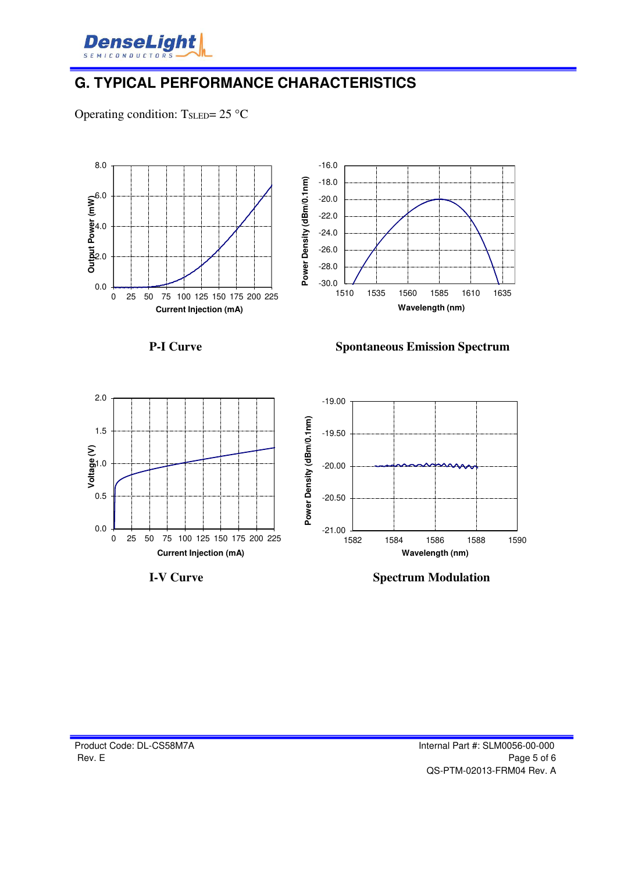

### **G. TYPICAL PERFORMANCE CHARACTERISTICS**

Operating condition:  $T_{\text{SLED}} = 25 \text{ °C}$ 





**P-I Curve Spontaneous Emission Spectrum**